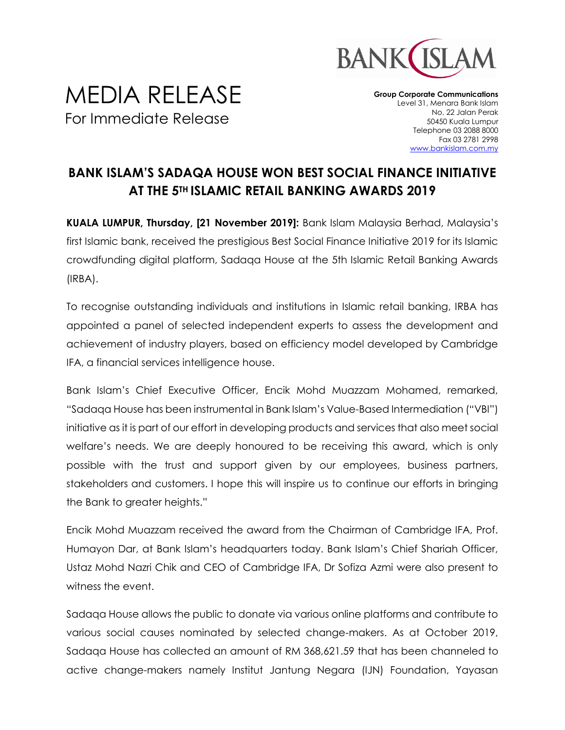

## MEDIA RELEASE For Immediate Release

**Group Corporate Communications** Level 31, Menara Bank Islam No. 22 Jalan Perak 50450 Kuala Lumpur Telephone 03 2088 8000 Fax 03 2781 2998 [www.bankislam.com.my](http://www.bankislam.com.my/)

## **BANK ISLAM'S SADAQA HOUSE WON BEST SOCIAL FINANCE INITIATIVE AT THE 5TH ISLAMIC RETAIL BANKING AWARDS 2019**

**KUALA LUMPUR, Thursday, [21 November 2019]:** Bank Islam Malaysia Berhad, Malaysia's first Islamic bank, received the prestigious Best Social Finance Initiative 2019 for its Islamic crowdfunding digital platform, Sadaqa House at the 5th Islamic Retail Banking Awards (IRBA).

To recognise outstanding individuals and institutions in Islamic retail banking, IRBA has appointed a panel of selected independent experts to assess the development and achievement of industry players, based on efficiency model developed by Cambridge IFA, a financial services intelligence house.

Bank Islam's Chief Executive Officer, Encik Mohd Muazzam Mohamed, remarked, "Sadaqa House has been instrumental in Bank Islam's Value-Based Intermediation ("VBI") initiative as it is part of our effort in developing products and services that also meet social welfare's needs. We are deeply honoured to be receiving this award, which is only possible with the trust and support given by our employees, business partners, stakeholders and customers. I hope this will inspire us to continue our efforts in bringing the Bank to greater heights."

Encik Mohd Muazzam received the award from the Chairman of Cambridge IFA, Prof. Humayon Dar, at Bank Islam's headquarters today. Bank Islam's Chief Shariah Officer, Ustaz Mohd Nazri Chik and CEO of Cambridge IFA, Dr Sofiza Azmi were also present to witness the event.

Sadaqa House allows the public to donate via various online platforms and contribute to various social causes nominated by selected change-makers. As at October 2019, Sadaqa House has collected an amount of RM 368,621.59 that has been channeled to active change-makers namely Institut Jantung Negara (IJN) Foundation, Yayasan